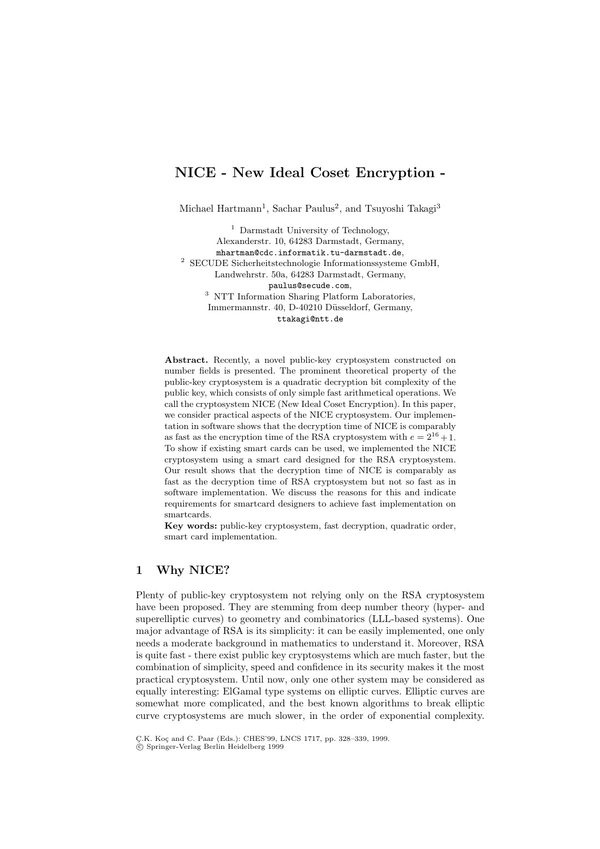# **NICE - New Ideal Coset Encryption -**

Michael Hartmann<sup>1</sup>, Sachar Paulus<sup>2</sup>, and Tsuvoshi Takagi<sup>3</sup>

<sup>1</sup> Darmstadt University of Technology, Alexanderstr. 10, 64283 Darmstadt, Germany, mhartman@cdc.informatik.tu-darmstadt.de,  $^2\,$  SECUDE Sicherheitstechnologie Informations<br>systeme GmbH, Landwehrstr. 50a, 64283 Darmstadt, Germany, paulus@secude.com, <sup>3</sup> NTT Information Sharing Platform Laboratories, Immermannstr. 40, D-40210 Düsseldorf, Germany, ttakagi@ntt.de

Abstract. Recently, a novel public-key cryptosystem constructed on number fields is presented. The prominent theoretical property of the public-key cryptosystem is a quadratic decryption bit complexity of the public key, which consists of only simple fast arithmetical operations. We call the cryptosystem NICE (New Ideal Coset Encryption). In this paper, we consider practical aspects of the NICE cryptosystem. Our implementation in software shows that the decryption time of NICE is comparably as fast as the encryption time of the RSA cryptosystem with  $e = 2^{16} + 1$ . To show if existing smart cards can be used, we implemented the NICE cryptosystem using a smart card designed for the RSA cryptosystem. Our result shows that the decryption time of NICE is comparably as fast as the decryption time of RSA cryptosystem but not so fast as in software implementation. We discuss the reasons for this and indicate requirements for smartcard designers to achieve fast implementation on smartcards.

**Key words:** public-key cryptosystem, fast decryption, quadratic order, smart card implementation.

# **1 Why NICE?**

Plenty of public-key cryptosystem not relying only on the RSA cryptosystem have been proposed. They are stemming from deep number theory (hyper- and superelliptic curves) to geometry and combinatorics (LLL-based systems). One major advantage of RSA is its simplicity: it can be easily implemented, one only needs a moderate background in mathematics to understand it. Moreover, RSA is quite fast - there exist public key cryptosystems which are much faster, but the combination of simplicity, speed and confidence in its security makes it the most practical cryptosystem. Until now, only one other system may be considered as equally interesting: ElGamal type systems on elliptic curves. Elliptic curves are somewhat more complicated, and the best known algorithms to break elliptic curve cryptosystems are much slower, in the order of exponential complexity.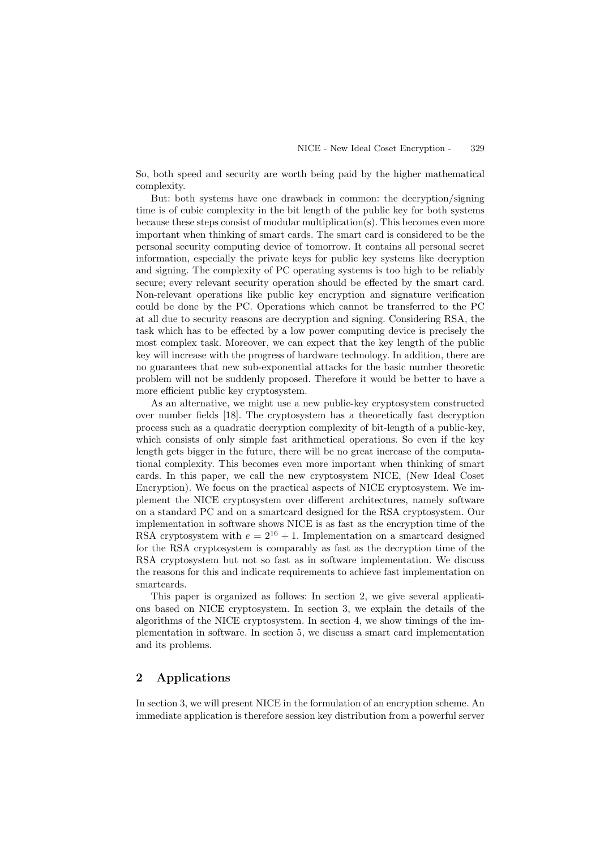So, both speed and security are worth being paid by the higher mathematical complexity.

But: both systems have one drawback in common: the decryption/signing time is of cubic complexity in the bit length of the public key for both systems because these steps consist of modular multiplication(s). This becomes even more important when thinking of smart cards. The smart card is considered to be the personal security computing device of tomorrow. It contains all personal secret information, especially the private keys for public key systems like decryption and signing. The complexity of PC operating systems is too high to be reliably secure; every relevant security operation should be effected by the smart card. Non-relevant operations like public key encryption and signature verification could be done by the PC. Operations which cannot be transferred to the PC at all due to security reasons are decryption and signing. Considering RSA, the task which has to be effected by a low power computing device is precisely the most complex task. Moreover, we can expect that the key length of the public key will increase with the progress of hardware technology. In addition, there are no guarantees that new sub-exponential attacks for the basic number theoretic problem will not be suddenly proposed. Therefore it would be better to have a more efficient public key cryptosystem.

As an alternative, we might use a new public-key cryptosystem constructed over number fields [18]. The cryptosystem has a theoretically fast decryption process such as a quadratic decryption complexity of bit-length of a public-key, which consists of only simple fast arithmetical operations. So even if the key length gets bigger in the future, there will be no great increase of the computational complexity. This becomes even more important when thinking of smart cards. In this paper, we call the new cryptosystem NICE, (New Ideal Coset Encryption). We focus on the practical aspects of NICE cryptosystem. We implement the NICE cryptosystem over different architectures, namely software on a standard PC and on a smartcard designed for the RSA cryptosystem. Our implementation in software shows NICE is as fast as the encryption time of the RSA cryptosystem with  $e = 2^{16} + 1$ . Implementation on a smartcard designed for the RSA cryptosystem is comparably as fast as the decryption time of the RSA cryptosystem but not so fast as in software implementation. We discuss the reasons for this and indicate requirements to achieve fast implementation on smartcards.

This paper is organized as follows: In section 2, we give several applications based on NICE cryptosystem. In section 3, we explain the details of the algorithms of the NICE cryptosystem. In section 4, we show timings of the implementation in software. In section 5, we discuss a smart card implementation and its problems.

# **2 Applications**

In section 3, we will present NICE in the formulation of an encryption scheme. An immediate application is therefore session key distribution from a powerful server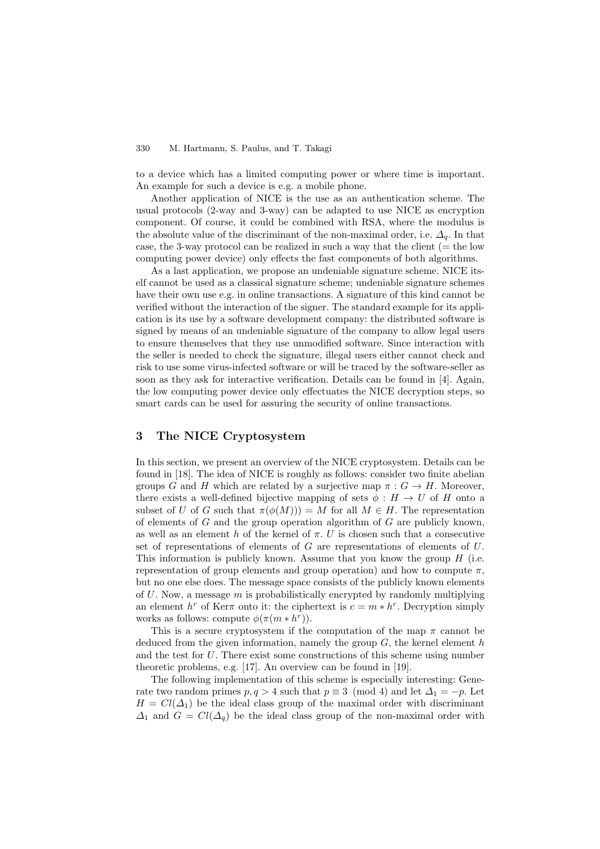to a device which has a limited computing power or where time is important. An example for such a device is e.g. a mobile phone.

Another application of NICE is the use as an authentication scheme. The usual protocols (2-way and 3-way) can be adapted to use NICE as encryption component. Of course, it could be combined with RSA, where the modulus is the absolute value of the discriminant of the non-maximal order, i.e.  $\Delta_q$ . In that case, the 3-way protocol can be realized in such a way that the client  $(=$  the low computing power device) only effects the fast components of both algorithms.

As a last application, we propose an undeniable signature scheme. NICE itself cannot be used as a classical signature scheme; undeniable signature schemes have their own use e.g. in online transactions. A signature of this kind cannot be verified without the interaction of the signer. The standard example for its application is its use by a software development company: the distributed software is signed by means of an undeniable signature of the company to allow legal users to ensure themselves that they use unmodified software. Since interaction with the seller is needed to check the signature, illegal users either cannot check and risk to use some virus-infected software or will be traced by the software-seller as soon as they ask for interactive verification. Details can be found in [4]. Again, the low computing power device only effectuates the NICE decryption steps, so smart cards can be used for assuring the security of online transactions.

## **3 The NICE Cryptosystem**

In this section, we present an overview of the NICE cryptosystem. Details can be found in [18]. The idea of NICE is roughly as follows: consider two finite abelian groups G and H which are related by a surjective map  $\pi : G \to H$ . Moreover, there exists a well-defined bijective mapping of sets  $\phi : H \to U$  of H onto a subset of U of G such that  $\pi(\phi(M)) = M$  for all  $M \in H$ . The representation of elements of  $G$  and the group operation algorithm of  $G$  are publicly known, as well as an element h of the kernel of  $\pi$ . U is chosen such that a consecutive set of representations of elements of G are representations of elements of U. This information is publicly known. Assume that you know the group  $H$  (i.e. representation of group elements and group operation) and how to compute  $\pi$ , but no one else does. The message space consists of the publicly known elements of  $U$ . Now, a message  $m$  is probabilistically encrypted by randomly multiplying an element  $h^r$  of Ker $\pi$  onto it: the ciphertext is  $c = m * h^r$ . Decryption simply works as follows: compute  $\phi(\pi(m * h^r))$ .

This is a secure cryptosystem if the computation of the map  $\pi$  cannot be deduced from the given information, namely the group  $G$ , the kernel element h and the test for U. There exist some constructions of this scheme using number theoretic problems, e.g. [17]. An overview can be found in [19].

The following implementation of this scheme is especially interesting: Generate two random primes  $p, q > 4$  such that  $p \equiv 3 \pmod{4}$  and let  $\Delta_1 = -p$ . Let  $H = Cl(\Delta_1)$  be the ideal class group of the maximal order with discriminant  $\Delta_1$  and  $G = Cl(\Delta_q)$  be the ideal class group of the non-maximal order with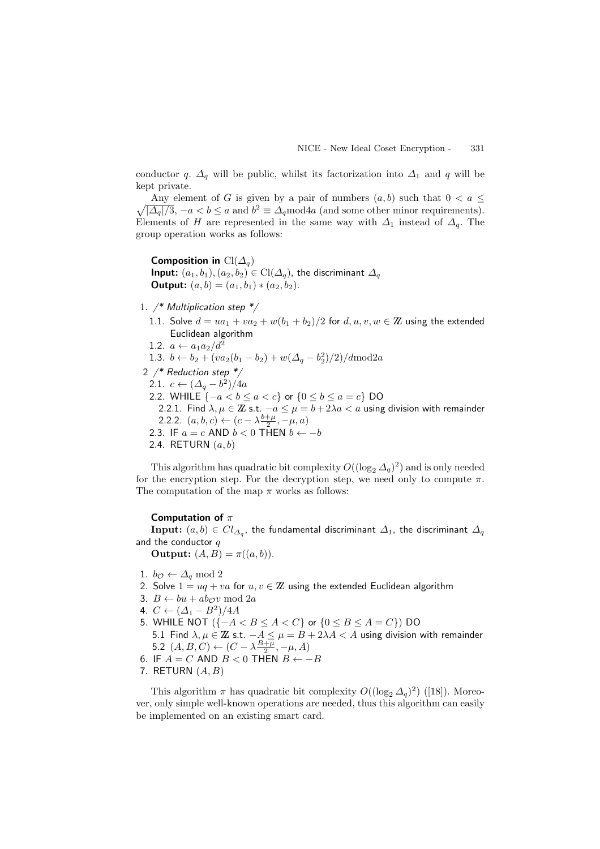conductor q.  $\Delta_q$  will be public, whilst its factorization into  $\Delta_1$  and q will be kept private.

 $\sqrt{|\Delta_q|/3}$ ,  $-a < b \le a$  and  $b^2 \equiv \Delta_q \text{ mod} 4a$  (and some other minor requirements). Any element of G is given by a pair of numbers  $(a, b)$  such that  $0 < a \leq$ Elements of H are represented in the same way with  $\Delta_1$  instead of  $\Delta_q$ . The group operation works as follows:

**Composition in**  $\text{Cl}(\Delta_q)$ **Input:**  $(a_1, b_1), (a_2, b_2) \in \text{Cl}(\Delta_a)$ , the discriminant  $\Delta_a$ **Output:**  $(a, b) = (a_1, b_1) * (a_2, b_2)$ .

- 1. /\* Multiplication step  $*/$ 
	- 1.1. Solve  $d = ua_1 + va_2 + w(b_1 + b_2)/2$  for  $d, u, v, w \in \mathbb{Z}$  using the extended Euclidean algorithm
	- 1.2.  $a \leftarrow a_1 a_2 / d^2$ 1.3.  $b \leftarrow b_2 + (va_2(b_1 - b_2) + w(\Delta_q - b_2^2)/2)/d \text{mod} 2a$
- 2 /\* Reduction step \*/
	- 2.1.  $c \leftarrow (\Delta_q b^2)/4a$
	- 2.2. WHILE { $-a < b \le a < c$ } or {0 ≤  $b \le a = c$ } DO
	- 2.2.1. Find  $\lambda, \mu \in \mathbb{Z}$  s.t.  $-a \leq \mu = b + 2\lambda a < a$  using division with remainder 2.2.2.  $(a, b, c) \leftarrow (c - \lambda \frac{b + \mu}{2}, -\mu, a)$
	- 2.3. IF  $a = c$  AND  $b < 0$  THEN  $b \leftarrow -b$
	- 2.4. RETURN  $(a, b)$

This algorithm has quadratic bit complexity  $O((\log_2 \Delta_q)^2)$  and is only needed for the encryption step. For the decryption step, we need only to compute  $\pi$ . The computation of the map  $\pi$  works as follows:

#### **Computation of** π

**Input:**  $(a, b) \in Cl_{\Delta_q}$ , the fundamental discriminant  $\Delta_1$ , the discriminant  $\Delta_q$ and the conductor  $q$ 

**Output:**  $(A, B) = \pi((a, b)).$ 

- 1.  $b_{\mathcal{O}} \leftarrow \Delta_a \mod 2$
- 2. Solve  $1 = uq + va$  for  $u, v \in \mathbb{Z}$  using the extended Euclidean algorithm
- 3.  $B \leftarrow bu + ab_{\mathcal{O}}v \mod 2a$
- 4.  $C \leftarrow (\Delta_1 B^2)/4A$
- 5. WHILE NOT  $({ A < B \leq A < C}$  or  ${0 ≤ B \leq A = C}$ ) DO 5.1 Find  $\lambda, \mu \in \mathbb{Z}$  s.t.  $-A \leq \mu = B + 2\lambda A < A$  using division with remainder 5.2  $(A, B, C) \leftarrow (C - \lambda \frac{B + \mu}{2}, -\mu, A)$
- 6. IF  $A = C$  AND  $B < 0$  THEN  $B \leftarrow -B$
- 7. RETURN  $(A, B)$

This algorithm  $\pi$  has quadratic bit complexity  $O((\log_2 \Delta_q)^2)$  ([18]). Moreover, only simple well-known operations are needed, thus this algorithm can easily be implemented on an existing smart card.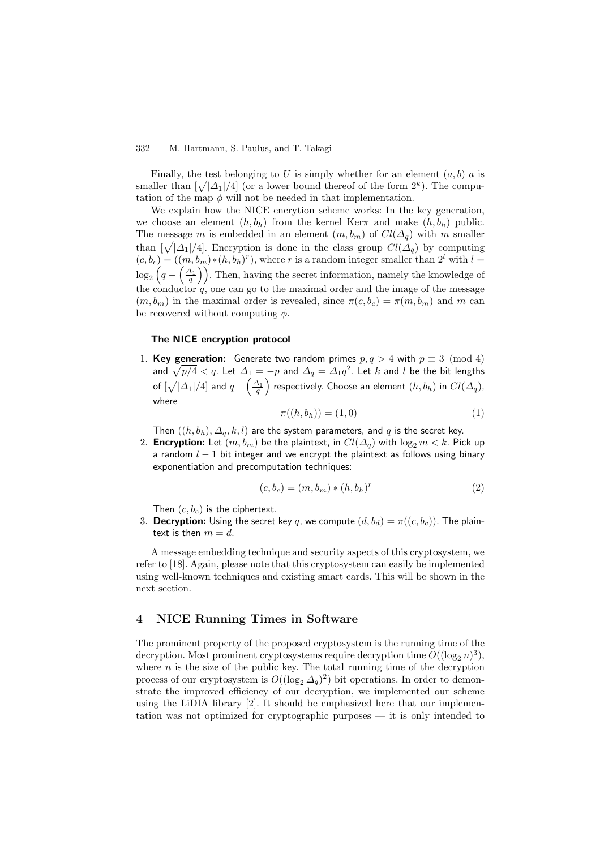Finally, the test belonging to U is simply whether for an element  $(a, b)$  a is smaller than  $[\sqrt{|\Delta_1|/4}]$  (or a lower bound thereof of the form  $2^k$ ). The computation of the map  $\phi$  will not be needed in that implementation.

We explain how the NICE encrytion scheme works: In the key generation, we choose an element  $(h, b_h)$  from the kernel Ker $\pi$  and make  $(h, b_h)$  public. The message m is embedded in an element  $(m, b_m)$  of  $Cl(\Delta_q)$  with m smaller than  $[\sqrt{|\Delta_1|/4}]$ . Encryption is done in the class group  $Cl(\Delta_q)$  by computing  $(c, b_c) = ((m, b_m)*(h, b_h)^r)$ , where r is a random integer smaller than  $2^l$  with  $l =$  $\log_2\left(q - \left(\frac{\Delta_1}{q}\right)\right)$ . Then, having the secret information, namely the knowledge of the conductor  $q$ , one can go to the maximal order and the image of the message  $(m, b_m)$  in the maximal order is revealed, since  $\pi(c, b_c) = \pi(m, b_m)$  and m can be recovered without computing  $\phi$ .

#### **The NICE encryption protocol**

1. **Key generation:** Generate two random primes  $p, q > 4$  with  $p \equiv 3 \pmod{4}$ and  $\sqrt{p/4} < q$ . Let  $\Delta_1 = -p$  and  $\Delta_q = \Delta_1 q^2$ . Let k and l be the bit lengths of  $[\sqrt{|\Delta_1|/4}]$  and  $q-\left(\frac{\Delta_1}{q}\right)$  respectively. Choose an element  $(h,b_h)$  in  $Cl(\Delta_q),$ where

$$
\pi((h, b_h)) = (1, 0)
$$
 (1)

Then  $((h, b_h), \Delta_q, k, l)$  are the system parameters, and q is the secret key.

2. **Encryption:** Let  $(m, b_m)$  be the plaintext, in  $Cl(\Delta_q)$  with  $\log_2 m < k$ . Pick up a random  $l - 1$  bit integer and we encrypt the plaintext as follows using binary exponentiation and precomputation techniques:

$$
(c, b_c) = (m, b_m) * (h, b_h)^r
$$
 (2)

Then  $(c, b_c)$  is the ciphertext.

3. **Decryption:** Using the secret key q, we compute  $(d, b_d) = \pi((c, b_c))$ . The plaintext is then  $m = d$ .

A message embedding technique and security aspects of this cryptosystem, we refer to [18]. Again, please note that this cryptosystem can easily be implemented using well-known techniques and existing smart cards. This will be shown in the next section.

## 4 **NICE Running Times in Software**

The prominent property of the proposed cryptosystem is the running time of the decryption. Most prominent cryptosystems require decryption time  $O((\log_2 n)^3)$ , where  $n$  is the size of the public key. The total running time of the decryption process of our cryptosystem is  $O((\log_2 \Delta_q)^2)$  bit operations. In order to demonstrate the improved efficiency of our decryption, we implemented our scheme using the LiDIA library [2]. It should be emphasized here that our implementation was not optimized for cryptographic purposes — it is only intended to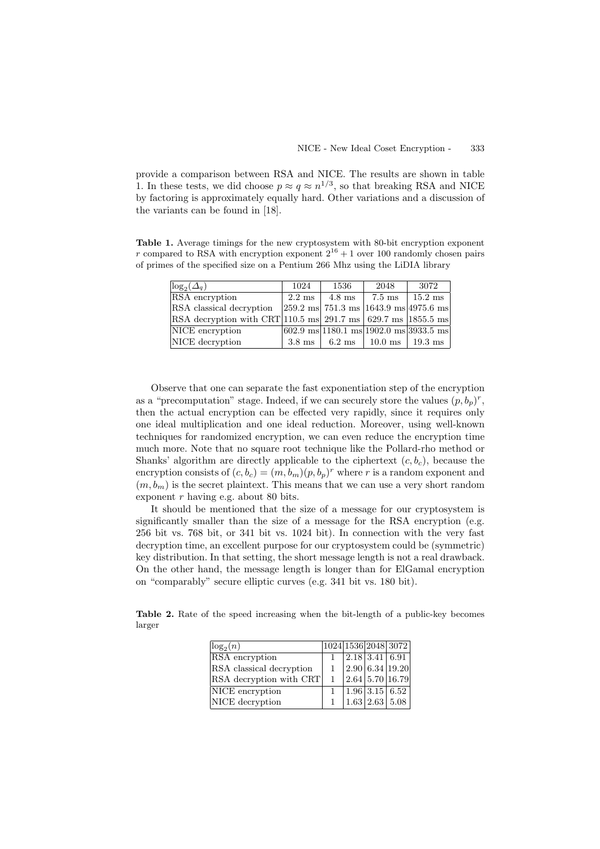provide a comparison between RSA and NICE. The results are shown in table 1. In these tests, we did choose  $p \approx q \approx n^{1/3}$ , so that breaking RSA and NICE by factoring is approximately equally hard. Other variations and a discussion of the variants can be found in [18].

**Table 1.** Average timings for the new cryptosystem with 80-bit encryption exponent r compared to RSA with encryption exponent  $2^{16} + 1$  over 100 randomly chosen pairs of primes of the specified size on a Pentium 266 Mhz using the LiDIA library

| $\log_2(\Delta_q)$                                           | 1024 | 1536                               | 2048                                                                      | 3072              |
|--------------------------------------------------------------|------|------------------------------------|---------------------------------------------------------------------------|-------------------|
| RSA encryption                                               |      | $2.2 \text{ ms}$   4.8 ms   7.5 ms |                                                                           | $15.2 \text{ ms}$ |
| RSA classical decryption                                     |      |                                    | $ 259.2 \text{ ms} $ 751.3 ms $ 1643.9 \text{ ms} 4975.6 \text{ ms}$      |                   |
| RSA decryption with CRT 110.5 ms 291.7 ms 629.7 ms 1855.5 ms |      |                                    |                                                                           |                   |
| NICE encryption                                              |      |                                    | $ 602.9 \text{ ms} 1180.1 \text{ ms} 1902.0 \text{ ms} 3933.5 \text{ ms}$ |                   |
| NICE decryption                                              |      |                                    | $3.8 \text{ ms}$   6.2 ms   10.0 ms   19.3 ms                             |                   |

Observe that one can separate the fast exponentiation step of the encryption as a "precomputation" stage. Indeed, if we can securely store the values  $(p, b_p)^r$ , then the actual encryption can be effected very rapidly, since it requires only one ideal multiplication and one ideal reduction. Moreover, using well-known techniques for randomized encryption, we can even reduce the encryption time much more. Note that no square root technique like the Pollard-rho method or Shanks' algorithm are directly applicable to the ciphertext  $(c, b_c)$ , because the encryption consists of  $(c, b_c)=(m, b_m)(p, b_p)^r$  where r is a random exponent and  $(m, b_m)$  is the secret plaintext. This means that we can use a very short random exponent  $r$  having e.g. about 80 bits.

It should be mentioned that the size of a message for our cryptosystem is significantly smaller than the size of a message for the RSA encryption (e.g. 256 bit vs. 768 bit, or 341 bit vs. 1024 bit). In connection with the very fast decryption time, an excellent purpose for our cryptosystem could be (symmetric) key distribution. In that setting, the short message length is not a real drawback. On the other hand, the message length is longer than for ElGamal encryption on "comparably" secure elliptic curves (e.g. 341 bit vs. 180 bit).

**Table 2.** Rate of the speed increasing when the bit-length of a public-key becomes larger

| $\log_2(n)$              |  | 1024 1536 2048 3072              |
|--------------------------|--|----------------------------------|
| RSA encryption           |  | $\sqrt{2.18\,3.41\,6.91}$        |
| RSA classical decryption |  | 2.90 6.34 19.20                  |
| RSA decryption with CRT  |  | $ 2.64 $ 5.70 $ 16.79 $          |
| NICE encryption          |  | $1.96 \,   \, 3.15 \,   \, 6.52$ |
| NICE decryption          |  | $1.63$   $2.63$   $5.08$         |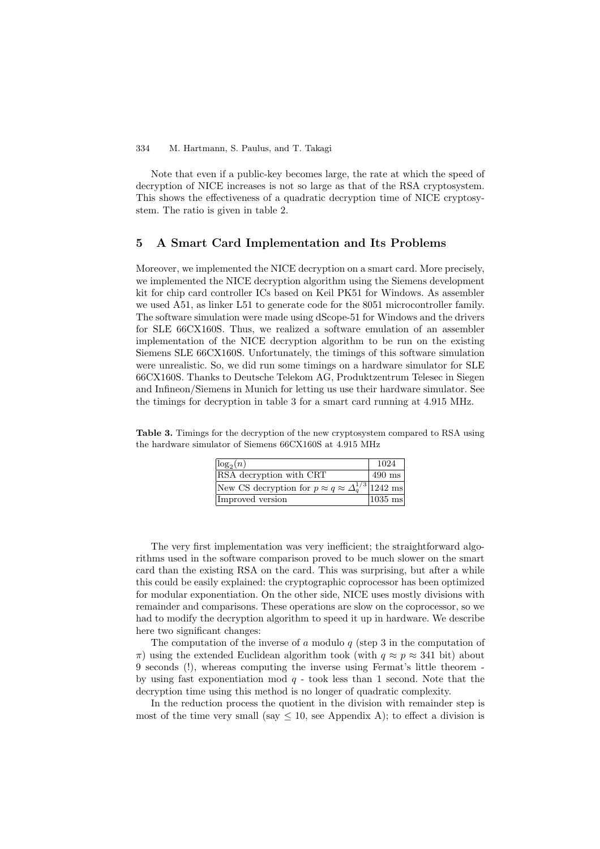Note that even if a public-key becomes large, the rate at which the speed of decryption of NICE increases is not so large as that of the RSA cryptosystem. This shows the effectiveness of a quadratic decryption time of NICE cryptosystem. The ratio is given in table 2.

## **5 A Smart Card Implementation and Its Problems**

Moreover, we implemented the NICE decryption on a smart card. More precisely, we implemented the NICE decryption algorithm using the Siemens development kit for chip card controller ICs based on Keil PK51 for Windows. As assembler we used A51, as linker L51 to generate code for the 8051 microcontroller family. The software simulation were made using dScope-51 for Windows and the drivers for SLE 66CX160S. Thus, we realized a software emulation of an assembler implementation of the NICE decryption algorithm to be run on the existing Siemens SLE 66CX160S. Unfortunately, the timings of this software simulation were unrealistic. So, we did run some timings on a hardware simulator for SLE 66CX160S. Thanks to Deutsche Telekom AG, Produktzentrum Telesec in Siegen and Infineon/Siemens in Munich for letting us use their hardware simulator. See the timings for decryption in table 3 for a smart card running at 4.915 MHz.

|             | the hardware simulator of Siemens 66CX160S at 4.915 MHz |      |  |
|-------------|---------------------------------------------------------|------|--|
| $\log_2(n)$ |                                                         | 1024 |  |

**Table 3.** Timings for the decryption of the new cryptosystem compared to RSA using

| $log_2(n)$                                                                   | 1024             |
|------------------------------------------------------------------------------|------------------|
| RSA decryption with CRT                                                      | $490$ ms $\vert$ |
| New CS decryption for $p \approx q \approx \Delta_q^{1/3}  1242 \text{ ms} $ |                  |
| Improved version                                                             | $\sqrt{1035}$ ms |

The very first implementation was very inefficient; the straightforward algorithms used in the software comparison proved to be much slower on the smart card than the existing RSA on the card. This was surprising, but after a while this could be easily explained: the cryptographic coprocessor has been optimized for modular exponentiation. On the other side, NICE uses mostly divisions with remainder and comparisons. These operations are slow on the coprocessor, so we had to modify the decryption algorithm to speed it up in hardware. We describe here two significant changes:

The computation of the inverse of a modulo  $q$  (step 3 in the computation of  $\pi$ ) using the extended Euclidean algorithm took (with  $q \approx p \approx 341$  bit) about 9 seconds (!), whereas computing the inverse using Fermat's little theorem by using fast exponentiation mod  $q$  - took less than 1 second. Note that the decryption time using this method is no longer of quadratic complexity.

In the reduction process the quotient in the division with remainder step is most of the time very small (say  $\leq 10$ , see Appendix A); to effect a division is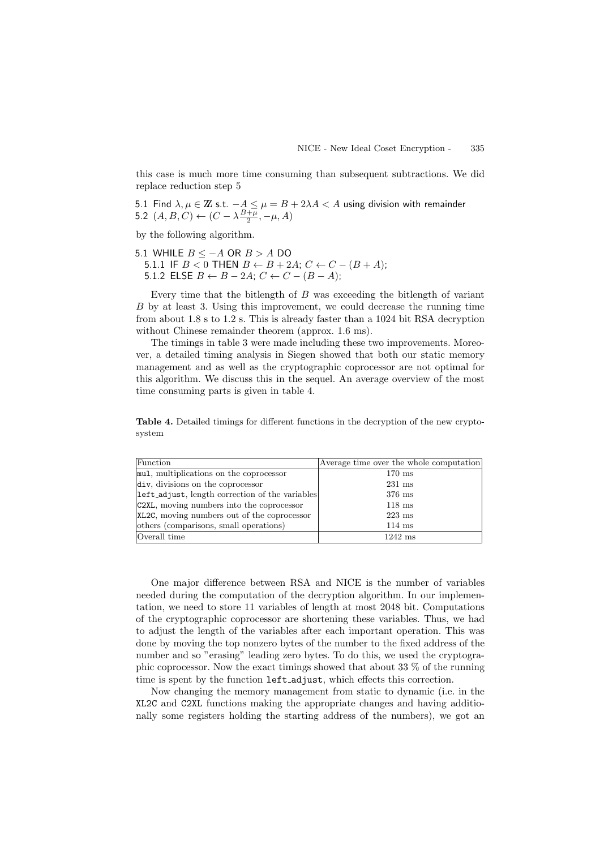this case is much more time consuming than subsequent subtractions. We did replace reduction step 5

5.1 Find  $\lambda, \mu \in \mathbb{Z}$  s.t.  $-A \leq \mu = B + 2\lambda A < A$  using division with remainder 5.2  $(A, B, C) \leftarrow (C - \lambda \frac{B + \mu}{2}, -\mu, A)$ 

by the following algorithm.

5.1 WHILE  $B < -A$  OR  $B > A$  DO 5.1.1 IF  $B < 0$  THEN  $B \leftarrow B + 2A$ ;  $C \leftarrow C - (B + A)$ ; 5.1.2 ELSE  $B \leftarrow B - 2A$ ;  $C \leftarrow C - (B - A)$ ;

Every time that the bitlength of  $B$  was exceeding the bitlength of variant B by at least 3. Using this improvement, we could decrease the running time from about 1.8 s to 1.2 s. This is already faster than a 1024 bit RSA decryption without Chinese remainder theorem (approx. 1.6 ms).

The timings in table 3 were made including these two improvements. Moreover, a detailed timing analysis in Siegen showed that both our static memory management and as well as the cryptographic coprocessor are not optimal for this algorithm. We discuss this in the sequel. An average overview of the most time consuming parts is given in table 4.

| Function                                          | Average time over the whole computation |
|---------------------------------------------------|-----------------------------------------|
| mul, multiplications on the coprocessor           | $170 \text{ ms}$                        |
| div, divisions on the coprocessor                 | $231 \text{ ms}$                        |
| left_adjust, length correction of the variables   | $376$ ms                                |
| <b>C2XL</b> , moving numbers into the coprocessor | $118$ ms                                |
| XL2C, moving numbers out of the coprocessor       | $223$ ms                                |

others (comparisons, small operations) 114 ms Overall time 1242 ms

**Table 4.** Detailed timings for different functions in the decryption of the new cryptosystem

One major difference between RSA and NICE is the number of variables needed during the computation of the decryption algorithm. In our implementation, we need to store 11 variables of length at most 2048 bit. Computations of the cryptographic coprocessor are shortening these variables. Thus, we had to adjust the length of the variables after each important operation. This was done by moving the top nonzero bytes of the number to the fixed address of the number and so "erasing" leading zero bytes. To do this, we used the cryptographic coprocessor. Now the exact timings showed that about 33 % of the running time is spent by the function  $left\_adjust$ , which effects this correction.

Now changing the memory management from static to dynamic (i.e. in the XL2C and C2XL functions making the appropriate changes and having additionally some registers holding the starting address of the numbers), we got an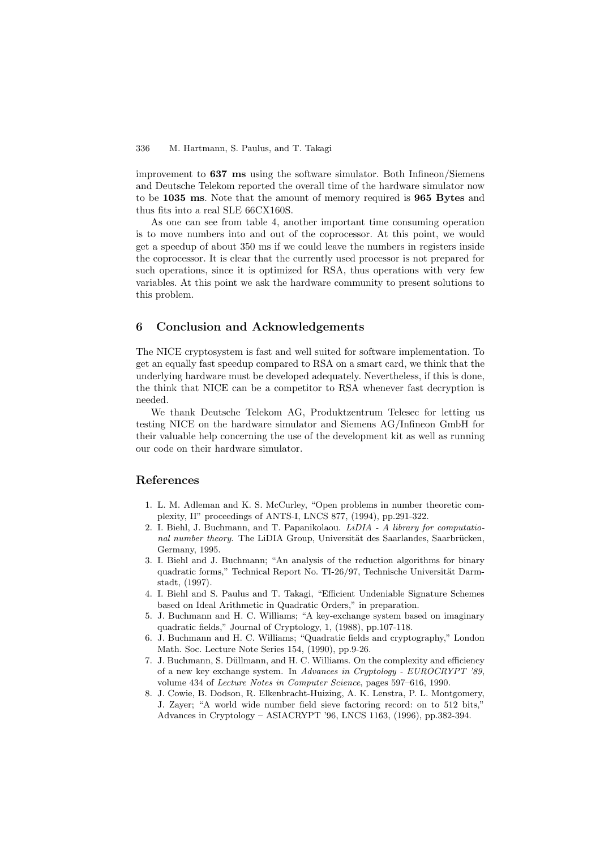improvement to **637 ms** using the software simulator. Both Infineon/Siemens and Deutsche Telekom reported the overall time of the hardware simulator now to be **1035 ms**. Note that the amount of memory required is **965 Bytes** and thus fits into a real SLE 66CX160S.

As one can see from table 4, another important time consuming operation is to move numbers into and out of the coprocessor. At this point, we would get a speedup of about 350 ms if we could leave the numbers in registers inside the coprocessor. It is clear that the currently used processor is not prepared for such operations, since it is optimized for RSA, thus operations with very few variables. At this point we ask the hardware community to present solutions to this problem.

## **6 Conclusion and Acknowledgements**

The NICE cryptosystem is fast and well suited for software implementation. To get an equally fast speedup compared to RSA on a smart card, we think that the underlying hardware must be developed adequately. Nevertheless, if this is done, the think that NICE can be a competitor to RSA whenever fast decryption is needed.

We thank Deutsche Telekom AG, Produktzentrum Telesec for letting us testing NICE on the hardware simulator and Siemens AG/Infineon GmbH for their valuable help concerning the use of the development kit as well as running our code on their hardware simulator.

## **References**

- 1. L. M. Adleman and K. S. McCurley, "Open problems in number theoretic complexity, II" proceedings of ANTS-I, LNCS 877, (1994), pp.291-322.
- 2. I. Biehl, J. Buchmann, and T. Papanikolaou. LiDIA A library for computational number theory. The LiDIA Group, Universität des Saarlandes, Saarbrücken, Germany, 1995.
- 3. I. Biehl and J. Buchmann; "An analysis of the reduction algorithms for binary quadratic forms," Technical Report No. TI-26/97, Technische Universität Darmstadt, (1997).
- 4. I. Biehl and S. Paulus and T. Takagi, "Efficient Undeniable Signature Schemes based on Ideal Arithmetic in Quadratic Orders," in preparation.
- 5. J. Buchmann and H. C. Williams; "A key-exchange system based on imaginary quadratic fields," Journal of Cryptology, 1, (1988), pp.107-118.
- 6. J. Buchmann and H. C. Williams; "Quadratic fields and cryptography," London Math. Soc. Lecture Note Series 154, (1990), pp.9-26.
- 7. J. Buchmann, S. D¨ullmann, and H. C. Williams. On the complexity and efficiency of a new key exchange system. In Advances in Cryptology - EUROCRYPT '89, volume 434 of Lecture Notes in Computer Science, pages 597–616, 1990.
- 8. J. Cowie, B. Dodson, R. Elkenbracht-Huizing, A. K. Lenstra, P. L. Montgomery, J. Zayer; "A world wide number field sieve factoring record: on to 512 bits," Advances in Cryptology – ASIACRYPT '96, LNCS 1163, (1996), pp.382-394.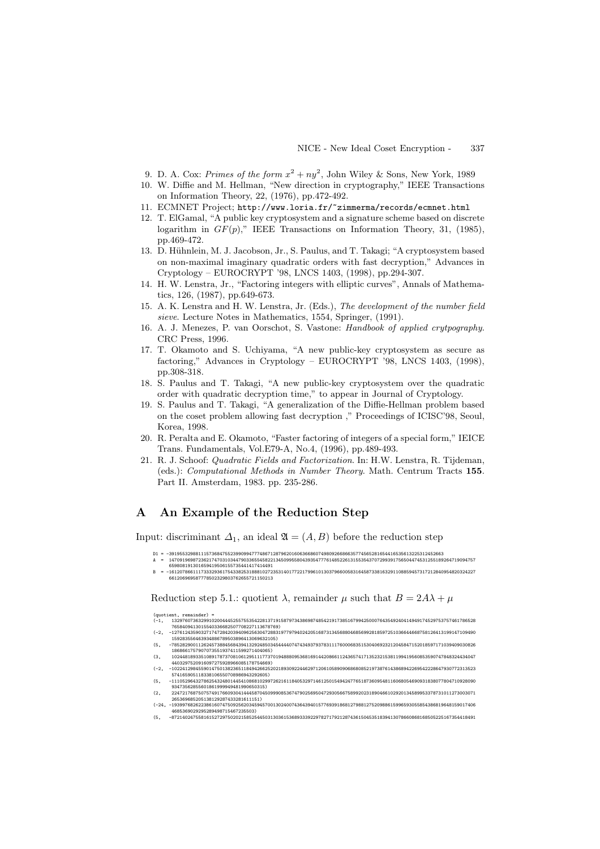- 9. D. A. Cox: Primes of the form  $x^2 + ny^2$ , John Wiley & Sons, New York, 1989
- 10. W. Diffie and M. Hellman, "New direction in cryptography," IEEE Transactions on Information Theory, 22, (1976), pp.472-492.
- 11. ECMNET Project; http://www.loria.fr/˜zimmerma/records/ecmnet.html
- 12. T. ElGamal, "A public key cryptosystem and a signature scheme based on discrete logarithm in  $GF(p)$ ," IEEE Transactions on Information Theory, 31, (1985), pp.469-472.
- 13. D. Hühnlein, M. J. Jacobson, Jr., S. Paulus, and T. Takagi; "A cryptosystem based on non-maximal imaginary quadratic orders with fast decryption," Advances in Cryptology – EUROCRYPT '98, LNCS 1403, (1998), pp.294-307.
- 14. H. W. Lenstra, Jr., "Factoring integers with elliptic curves", Annals of Mathematics, 126, (1987), pp.649-673.
- 15. A. K. Lenstra and H. W. Lenstra, Jr. (Eds.), The development of the number field sieve. Lecture Notes in Mathematics, 1554, Springer, (1991).
- 16. A. J. Menezes, P. van Oorschot, S. Vastone: Handbook of applied crytpography. CRC Press, 1996.
- 17. T. Okamoto and S. Uchiyama, "A new public-key cryptosystem as secure as factoring," Advances in Cryptology – EUROCRYPT '98, LNCS 1403, (1998), pp.308-318.
- 18. S. Paulus and T. Takagi, "A new public-key cryptosystem over the quadratic order with quadratic decryption time," to appear in Journal of Cryptology.
- 19. S. Paulus and T. Takagi, "A generalization of the Diffie-Hellman problem based on the coset problem allowing fast decryption ," Proceedings of ICISC'98, Seoul, Korea, 1998.
- 20. R. Peralta and E. Okamoto, "Faster factoring of integers of a special form," IEICE Trans. Fundamentals, Vol.E79-A, No.4, (1996), pp.489-493.
- 21. R. J. Schoof: Quadratic Fields and Factorization. In: H.W. Lenstra, R. Tijdeman, (eds.): Computational Methods in Number Theory. Math. Centrum Tracts **155**. Part II. Amsterdam, 1983. pp. 235-286.

## **A An Example of the Reduction Step**

Input: discriminant  $\Delta_1$ , an ideal  $\mathfrak{A} = (A, B)$  before the reduction step

- D1 = -3919553298811157368475523990994777486712879620160636686074980926686635774565281654416535613225312452663
- A = 1470919698723621747031034479033655458221345099558043935477761485226131553543707299391756504474531255189264719094757 659808191301659419506155735441417414491
- B = -1612078661117333293617543382531888102723531401772217996101303796600583164587338163291108859457317212840954820324227 661206969587778502329803762655721150213

Reduction step 5.1.: quotient  $\lambda$ , remainder  $\mu$  such that  $B = 2A\lambda + \mu$ 

(5, -785282900112624573884568439413292485034544440747434937937831117600068351530406923212045847152018597171039409030826 1868661757907073551937411599271404065)

(-2, -102241298455901475013823651184942662520218930922446297120610589090686808521973876143868942269542228647930772313523 574165905118338106550708986943292605)

(5, -872140247558161527297502021585254450313036153689333922978271792128743615045351839413078660868168505225167354418491

 $(quotient, remainder)$ <br> $(-1, 13297607363299)$ (-1, 132976073632991020044452557553542281371915879734386987485421917385167994250007643549240414949174529753757461786528 7658409413015540336682507708227113678769) (-2, -127612435903271747284203940962563047288319779794024205168731345688046856992818597251036644668758126413199147109490 159283556463934886789503896413069632105)

<sup>(3, 102448189335108917873708106129511177370194888095368169144208661124365741713523215381199419560853590747848324434047</sup> 4403297520916097275928966085178754669)

<sup>(5, -111052964327862543248014454108681029972621611840532971461250154942477651873609548116068054690931838077804710928090</sup> 93473562855601861999949481990650315)

<sup>(2, 224721768750757491766093041444587045099908536747902569504729305667589920231890466102920134589953378731011273003071</sup> 265369685205138129287433281611151)

<sup>(-24, -193997682622386160747509256203459457001302400743643940157769391868127988127520988615996593055854386819648159017406</sup> 4685369029295289498715467235503)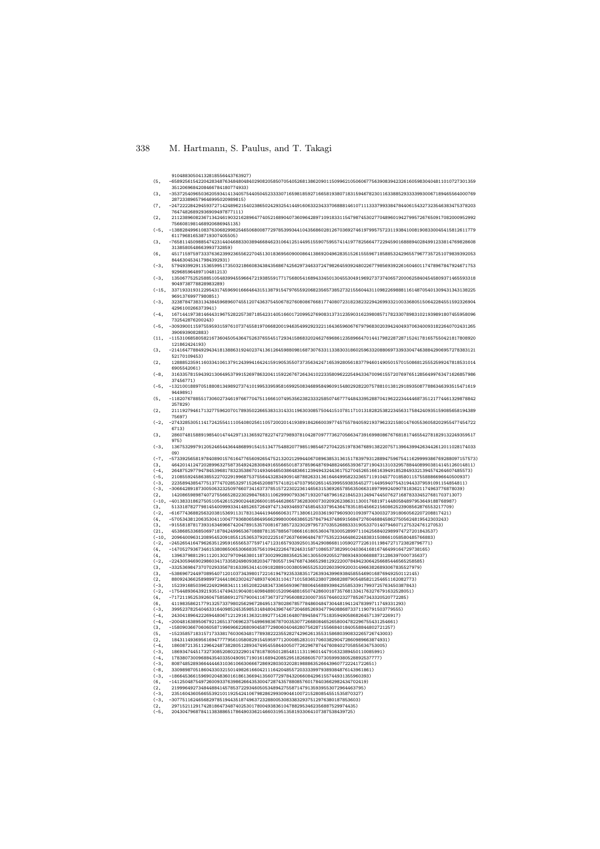91048830504132818556443763927) (5, -658925615422042834876348480484029082058507054052681386209011509962105060677563908394232616059830404811010727301359 3512069684208466784180774933) (3, -353725409650362059341413405754405045233330716598185927166581938071831594678230116338852933339930067189465564000769 287233896579646995020989815) (7, -247222284294593727142489621540238650242932541449160633234337068881461071113337993384784406154327323546383475378203 76474826892936909497877111) (2, 211238960823671342461903216289647740521689040736096428971091833115479874530277048960194279957267650917082000952992 7566081981468920686945135) (-5, -138828499610837630682998254650680087729785399344104356860281267036927461979957572311938410081908330045415812611779 611796816538719307405505) (3, -765811450988547423144046883303894668462310641251449515590759557414197782566477229459016888940284991233814769828608 3138580548663993732859) (6, 451715975973337636239923655622704513018369560900086413869204962835152615559671858853242965579677357251079839392053 844630453417984392931) (-3, 579493992911536599517350321866083438435686742562973463372479826459392480226779856939226160460117478967847924671753 92968596489710481213) (-3, 135067752525885105483994559664721938559177175680541689433450130455304919692737374065720006258404545809371465593318 9049738778828983289) (-15, 337193319312295431745969016664643151387915479765592068235657385273215560443110982269888116148705401309431343138225 96913769977980851) (-3, 323878473831343845968960745512074363754506782760808676681774080723182382322942699332100336805150642284551592326904 4296100266373941) (-4, 167144197381464431967528225738718542314051660172099527690831373123590316239808571782330789831021939891807455958096 732542876200243) (-5, -309390011597559593159761073745581970668200194635499292322116436596067679796830203942404937063400931822640702431265 3906939082883) (11, -115310685805821673604505436475263765545172934158683202462769686123589664701441798228728715241781657550421817808920 121862424193) (3, -214164778849294341813886319240237413612645988098168730763311338303186025963320880697339330474638842906957278383121 52170109453) (2, 128885235911603341061379124399416424159190535507373563424716539280561837794601490501570150868125552599247818531014 6905542061) (-8, 316335781594392130649537991526978632041159226767264341022335809622254943347009615572076976512856499763471626857986 37456771) (-5, -132100188970518808134989273741019953395958169925083468958496091548029282207578810138129189350877886346393515471619 9449891) (5, -118207678855173060273461976677047511666107495356238233325850746777448433952887041962223444468735121774461329878842 257829) (2, 211192794617132775962070178935022665383131433119630308575044151078117101318282538223456317584240935159085658194389 75697) (-2, -274328530511417242554111054080256110572002014193891842660039774575578405921937962321580147605536058202955477454722 6713) (3, 286074815889198540147442971313659278227472798937810428709777362705663473916998086767681817465542781829132249359517 975) (-3, 136753299791205246544364486899154151347754882077985198546727042251978367689138220757139643994263442612011028174033  $(99)$ (-7, -573392565819784089015761647765609265475213202129944067089638531361517839793128894759675411629999386769288097157573) (3, 46420141247202899632758735492428308491655665018737859648769488246653936727190431310329578844089903814145126014811) (-4, 2648752977947845396817832353867014934646503864836612394943244361752704526516616394918528493321394574264607485573) (-5, 210855924586385522702291996875375564432834909148788263313616464995823236571191045770185801157558886696640500937) (-3, 22358943854775137747028532971526452088757418214703795026514539955938354527714495940754319443379591091154854811) (-3, -3066428918730050632325097660734163737851572230223614656315369265785635066318979992409078183621174963776878039) (2, 142086598987407275566528223029847683110629990793367193207487961621845231249474450762716878333452768170371307) (-10, -4013833186275051054261529002448266001854462865736283000730209262386311300176819714480584897953649188768987) (3, 513318782779814540099933414852657264974713493469374585453379543647835185456621560862523908562876553217709) (-2, -61677436882563203815369113178313444194666063177138061203361907960930109397743003273918060562207208817421) (4, -5705343812063530411004779368065864956629980006638652578479437486915684727604688458627505624819542303243) (3, -91558187817393163469667420478915357008167385723230297957370355268833319053370140794607127532476127053) (21, 453868533685069718784249965367088878135788567086616180536047830052899711042568402989974727201843537) (-10, 20964009631208954520918551253653792022251672637669648478775352234648622483831508661058580485766883) (-2, -2452654164796263512959165565377597147123165793392501354290866811059027722610119847271723828796771) (4, -147052793673461538086506530668357561094222647824631587108653738299104036416816746499164729738165) (4, 13963798812911120130279709463801187300299288356253613055092055278693493066888731286397000735637) (-2, -2243059469029860341733582498093820347780557194768743665298129222007849423064256685446565258585) (3, -332536984737070293356781633953414109182889100380596552532026039092003149663826893067835527979) (3, -53869672449708954071201037343980172216194792353383517263934399693845855469016876949250112145) (2, 8809243662589899724441862302427489374063110417101583652380728682887905485821254651162082773)  $\begin{array}{ll}(-3,& \textcolor{red}{1523916850396224929683411116520822483473365693967880645688939842558533917993725763450387843)\end{array}$ (-2, -175448936439219351474943190408140984880152096488165074286001873576813341763276791632528051) (4, -7172119525392604758586912757900411673673727956088230007355764602327785267343320520772285) (6, 411983586217791325733798025629672849513780286785778486048473044819412478399711749331293) (-3, 39952378254046331640985245359853148480439674672046852693477940886873371190791503779555)  $\hbox{{\small (-4, \quad 2430418964222694480671212916136321892771426164807894584775183594905868264571397226917)\hfill\small \newline \hbox{{\small (-4, \quad -200481638950679212651370696237549969836787003530772668084652658004782296755431254661)\hfill}}$ (-4, -200481638950679212651370696237549969836787003530772668084652658004782296755431254661) (3, -15809036670606058719969662268090458772980604046280756287155668401840558844802721257) (5, -1523585718315717333817603063481778938222355282742962613553158680390832265726743003) (2, 184311493695616947777956105808291545959771200085283101706038290472860989663874931) (-4, 18608721351129642487382805128934749545584400507726296787447608402705855634753005) (-3, 1869347445173273085208023229014781878050128548111311960144791632389450110085991) (-4, 178380730096884354033504909171901616894208529518268605707305999380528892537777) (-3, 8087485289366444463103610663066672869280303202819888635266439607722241722651) (-8, 330989870518604330321501498261660421116420485572033339979389384876143961861)  $(-3, -18664536615969020483601618613669413560772978432066084296155744931355960393)$ <br>  $(6, -1412504875497260093376398626643530047287435788085760178403662982434702419)$ (6, -1412504875497260093376398626643530047287435788085760178403662982434702419) (2, 219996492734844884145785372293460505348942755871479135939553072964463795) (-3, 23516043605665539210119254241067982862993090461007215280854551535870327) (-3, -3077511624656829785194435187496372328800530833832937512976380187853603) (2, 297152112917428186473487402530178004938361047882953462356887529974435) (-5, 20430479687841138388651786490336214660319513581933064107387538439725)